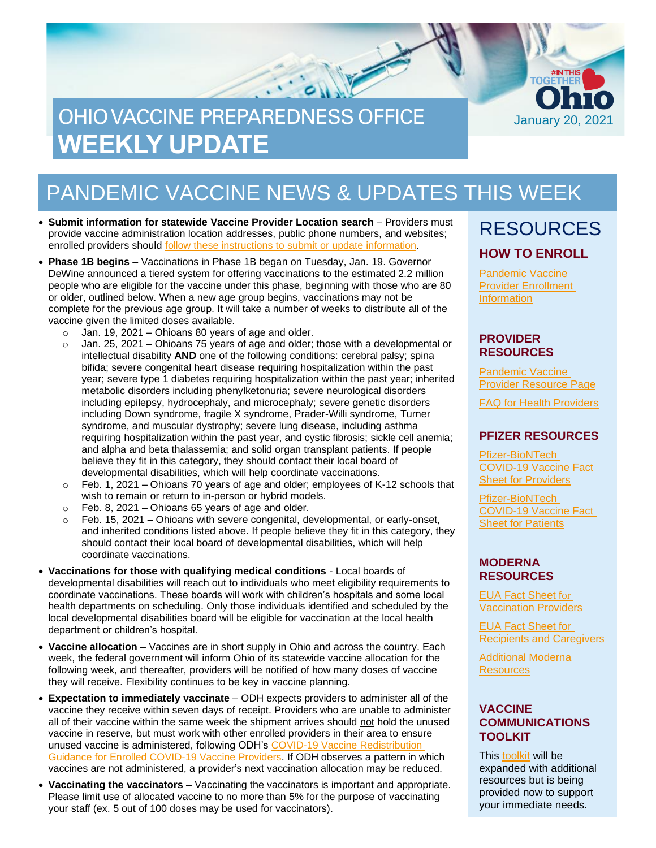# OHIO VACCINE PREPAREDNESS OFFICE **WEEKLY UPDATE**



- **Submit information for statewide Vaccine Provider Location search**  Providers must provide vaccine administration location addresses, public phone numbers, and websites; enrolled providers should [follow these instructions to submit or update information.](https://odh.ohio.gov/static/covid19/vaccine-providers/vaccine-provider-locations-guide-for-providers.pdf)
- **Phase 1B begins** Vaccinations in Phase 1B began on Tuesday, Jan. 19. Governor DeWine announced a tiered system for offering vaccinations to the estimated 2.2 million people who are eligible for the vaccine under this phase, beginning with those who are 80 or older, outlined below. When a new age group begins, vaccinations may not be complete for the previous age group. It will take a number of weeks to distribute all of the vaccine given the limited doses available.
	- $\circ$  Jan. 19, 2021 Ohioans 80 years of age and older.
	- $\circ$  Jan. 25, 2021 Ohioans 75 years of age and older; those with a developmental or intellectual disability **AND** one of the following conditions: cerebral palsy; spina bifida; severe congenital heart disease requiring hospitalization within the past year; severe type 1 diabetes requiring hospitalization within the past year; inherited metabolic disorders including phenylketonuria; severe neurological disorders including epilepsy, hydrocephaly, and microcephaly; severe genetic disorders including Down syndrome, fragile X syndrome, Prader-Willi syndrome, Turner syndrome, and muscular dystrophy; severe lung disease, including asthma requiring hospitalization within the past year, and cystic fibrosis; sickle cell anemia; and alpha and beta thalassemia; and solid organ transplant patients. If people believe they fit in this category, they should contact their local board of developmental disabilities, which will help coordinate vaccinations.
	- $\circ$  Feb. 1, 2021 Ohioans 70 years of age and older; employees of K-12 schools that wish to remain or return to in-person or hybrid models.
	- $\circ$  Feb. 8, 2021 Ohioans 65 years of age and older.
	- o Feb. 15, 2021 **–** Ohioans with severe congenital, developmental, or early-onset, and inherited conditions listed above. If people believe they fit in this category, they should contact their local board of developmental disabilities, which will help coordinate vaccinations.
- **Vaccinations for those with qualifying medical conditions** Local boards of developmental disabilities will reach out to individuals who meet eligibility requirements to coordinate vaccinations. These boards will work with children's hospitals and some local health departments on scheduling. Only those individuals identified and scheduled by the local developmental disabilities board will be eligible for vaccination at the local health department or children's hospital.
- **Vaccine allocation** Vaccines are in short supply in Ohio and across the country. Each week, the federal government will inform Ohio of its statewide vaccine allocation for the following week, and thereafter, providers will be notified of how many doses of vaccine they will receive. Flexibility continues to be key in vaccine planning.
- **Expectation to immediately vaccinate**  ODH expects providers to administer all of the vaccine they receive within seven days of receipt. Providers who are unable to administer all of their vaccine within the same week the shipment arrives should not hold the unused vaccine in reserve, but must work with other enrolled providers in their area to ensure unused vaccine is administered, following ODH's [COVID-19 Vaccine Redistribution](https://odh.ohio.gov/static/covid19/vaccine-providers/ohio-covid-19-vaccine-movement-guidance.pdf)  [Guidance for Enrolled COVID-19 Vaccine Providers.](https://odh.ohio.gov/static/covid19/vaccine-providers/ohio-covid-19-vaccine-movement-guidance.pdf) If ODH observes a pattern in which vaccines are not administered, a provider's next vaccination allocation may be reduced.
- **Vaccinating the vaccinators**  Vaccinating the vaccinators is important and appropriate. Please limit use of allocated vaccine to no more than 5% for the purpose of vaccinating your staff (ex. 5 out of 100 doses may be used for vaccinators).

### RESOURCES **HOW TO ENROLL**

January 20, 2021

**TOGETHE** 

[Pandemic Vaccine](https://odh.ohio.gov/wps/portal/gov/odh/know-our-programs/immunization/pandemic-vaccine-provider/ohio-covid-19-provider-enrollment)  [Provider Enrollment](https://odh.ohio.gov/wps/portal/gov/odh/know-our-programs/immunization/pandemic-vaccine-provider/ohio-covid-19-provider-enrollment)  **[Information](https://odh.ohio.gov/wps/portal/gov/odh/know-our-programs/immunization/pandemic-vaccine-provider/ohio-covid-19-provider-enrollment)** 

#### **PROVIDER RESOURCES**

[Pandemic](https://odh.ohio.gov/wps/portal/gov/odh/know-our-programs/Immunization/pandemic-vaccine-provider) Vaccine [Provider Resource Page](https://odh.ohio.gov/wps/portal/gov/odh/know-our-programs/Immunization/pandemic-vaccine-provider)

FAQ for Health [Providers](https://coronavirus.ohio.gov/static/docs/Enrollment-Information-FAQ.pdf)

#### **PFIZER RESOURCES**

[Pfizer-BioNTech](https://www.fda.gov/media/144413/download)  [COVID-19 Vaccine Fact](https://www.fda.gov/media/144413/download)  [Sheet for Providers](https://www.fda.gov/media/144413/download)

[Pfizer-BioNTech](https://odh.ohio.gov/wps/portal/gov/odh/know-our-programs/covid-19-vaccine-provider/manufacturer-specific-information/manufacturer-specific-information/!ut/p/z1/jZDdCoJAEEafxQdYZo1c8tKExJ81IkXbm1g2tYVcZVMvevrMO6HSuZvhHJjvAwY5MMUHWfFONoo_xv3CyDW2Pcc0Qxx7JLLx6UiTwMTUxy6BbA7sEssZAZJ64eHsJ1sL2Bof_xgHL_nBEjAm2Gjq0gpYy7s7kqpsIBfNIG_ItNHAhZCqQK3-XAoNec1VX3LR9brQ6NkWQpZSTJqup1rWIBmw-WNfipmAP8nbOs1f0d72K8N4A42Ic8o!/%C2%A0https:/www.fda.gov/media/144414/download)  [COVID-19 Vaccine Fact](https://odh.ohio.gov/wps/portal/gov/odh/know-our-programs/covid-19-vaccine-provider/manufacturer-specific-information/manufacturer-specific-information/!ut/p/z1/jZDdCoJAEEafxQdYZo1c8tKExJ81IkXbm1g2tYVcZVMvevrMO6HSuZvhHJjvAwY5MMUHWfFONoo_xv3CyDW2Pcc0Qxx7JLLx6UiTwMTUxy6BbA7sEssZAZJ64eHsJ1sL2Bof_xgHL_nBEjAm2Gjq0gpYy7s7kqpsIBfNIG_ItNHAhZCqQK3-XAoNec1VX3LR9brQ6NkWQpZSTJqup1rWIBmw-WNfipmAP8nbOs1f0d72K8N4A42Ic8o!/%C2%A0https:/www.fda.gov/media/144414/download)  [Sheet for Patients](https://odh.ohio.gov/wps/portal/gov/odh/know-our-programs/covid-19-vaccine-provider/manufacturer-specific-information/manufacturer-specific-information/!ut/p/z1/jZDdCoJAEEafxQdYZo1c8tKExJ81IkXbm1g2tYVcZVMvevrMO6HSuZvhHJjvAwY5MMUHWfFONoo_xv3CyDW2Pcc0Qxx7JLLx6UiTwMTUxy6BbA7sEssZAZJ64eHsJ1sL2Bof_xgHL_nBEjAm2Gjq0gpYy7s7kqpsIBfNIG_ItNHAhZCqQK3-XAoNec1VX3LR9brQ6NkWQpZSTJqup1rWIBmw-WNfipmAP8nbOs1f0d72K8N4A42Ic8o!/%C2%A0https:/www.fda.gov/media/144414/download)

#### **MODERNA RESOURCES**

[EUA Fact Sheet f](https://www.modernatx.com/covid19vaccine-eua/eua-fact-sheet-providers.pdf)[or](https://www.modernatx.com/covid19vaccine-eua/eua-fact-sheet-providers.pdf)  [Vaccination Providers](https://www.modernatx.com/covid19vaccine-eua/eua-fact-sheet-providers.pdf)

[EUA Fact Sheet for](https://www.modernatx.com/covid19vaccine-eua/eua-fact-sheet-recipients.pdf)  [Recipients and Caregivers](https://www.modernatx.com/covid19vaccine-eua/eua-fact-sheet-recipients.pdf)

[Additional Moderna](https://www.modernatx.com/covid19vaccine-eua/)  **[Resources](https://www.modernatx.com/covid19vaccine-eua/)** 

#### **VACCINE COMMUNICATIONS TOOLKIT**

This [toolkit](https://odh.ohio.gov/static/covid19/vaccine-providers/communications_toolkit.pdf) will be expanded with additional resources but is being provided now to support your immediate needs.